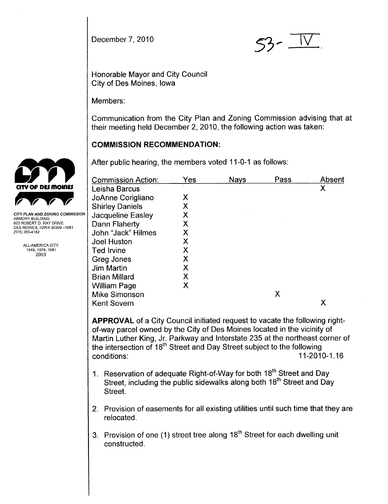December 7, 2010  $53 - 11$ .

Honorable Mayor and City Council City of Des Moines, Iowa

Members:

Communication from the City Plan and Zoning Commission advising that at their meeting held December 2, 2010, the following action was taken:

# COMMISSION RECOMMENDATION:

After public hearing, the members voted 11-0-1 as follows:

|                                                        | <b>Commission Action:</b> | Yes | <b>Nays</b> | Pass | Absent |
|--------------------------------------------------------|---------------------------|-----|-------------|------|--------|
| CITY OF DES MOINES                                     | Leisha Barcus             |     |             |      | Χ      |
|                                                        | JoAnne Corigliano         | Χ   |             |      |        |
|                                                        | <b>Shirley Daniels</b>    | Χ   |             |      |        |
| CITY PLAN AND ZONING COMMISSION<br>ARMORY BUILDING     | <b>Jacqueline Easley</b>  | Χ   |             |      |        |
| 602 ROBERT D. RAY DRIVE<br>DES MOINES, IOWA 50309-1881 | Dann Flaherty             | X   |             |      |        |
| (515) 283-4182                                         | John "Jack" Hilmes        | Χ   |             |      |        |
| ALL-AMERICA CITY                                       | Joel Huston               | Χ   |             |      |        |
| 1949, 1976, 1981                                       | <b>Ted Irvine</b>         | Χ   |             |      |        |
| 2003                                                   | Greg Jones                | Χ   |             |      |        |
|                                                        | Jim Martin                | Χ   |             |      |        |
|                                                        | <b>Brian Millard</b>      | Χ   |             |      |        |
|                                                        | William Page              | Χ   |             |      |        |
|                                                        | Mike Simonson             |     |             | Χ    |        |
|                                                        | <b>Kent Sovern</b>        |     |             |      | Χ      |
|                                                        |                           |     |             |      |        |

APPROVAL of a City Council initiated request to vacate the following rightof-way parcel owned by the City of Des Moines located in the vicinity of Martin Luther King, Jr. Parkway and Interstate 235 at the northeast corner of the intersection of 18<sup>th</sup> Street and Day Street subject to the following<br>conditions: 11-2010-1.16

- 1. Reservation of adequate Right-of-Way for both 18<sup>th</sup> Street and Day Street, including the public sidewalks along both 18<sup>th</sup> Street and Day Street.
- 2. Provision of easements for all existing utilities until such time that they are relocated.
- 3. Provision of one (1) street tree along  $18<sup>th</sup>$  Street for each dwelling unit constructed.

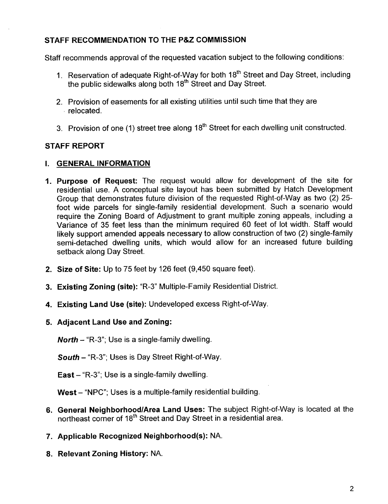# STAFF RECOMMENDATION TO THE P&Z COMMISSION

Staff recommends approval of the requested vacation subject to the following conditions:

- 1. Reservation of adequate Right-of-Way for both 18<sup>th</sup> Street and Day Street, including the public sidewalks along both 18<sup>th</sup> Street and Day Street.
- 2. Provision of easements for all existing utilities until such time that they are . relocated.
- 3. Provision of one (1) street tree along 18<sup>th</sup> Street for each dwelling unit constructed.

# STAFF REPORT

### i. GENERAL INFORMATION

- 1. Purpose of Request: The request would allow for development of the site for residential use. A conceptual site layout has been submitted by Hatch Development Group that demonstrates future division of the requested Right-of-Way as two (2) 25 foot wide parcels for single-family residential development. Such a scenario would require the Zoning Board of Adjustment to grant multiple zoning appeals, including a Variance of 35 feet less than the minimum required 60 feet of lot width. Staff would likely support amended appeals necessary to allow construction of two (2) single-family semi-detached dwelling units, which would allow for an increased future building setback along Day Street.
- 2. Size of Site: Up to 75 feet by 126 feet (9,450 square feet).
- 3. Existing Zoning (site): "R-3" Multiple-Family Residential District.
- 4. Existing Land Use (site): Undeveloped excess Right-of-Way.
- 5. Adjacent Land Use and Zoning:

**North - "R-3"; Use is a single-family dwelling.** 

South - "R-3"; Uses is Day Street Right-of-Way.

East  $-$  "R-3"; Use is a single-family dwelling.

West - "NPC"; Uses is a multiple-family residential building.

- 6. General Neighborhood/Area Land Uses: The subject Right-of-Way is located at the northeast corner of 18<sup>th</sup> Street and Day Street in a residential area.
- 7. Applicable Recognized Neighborhood(s): NA.
- 8. Relevant Zoning History: NA.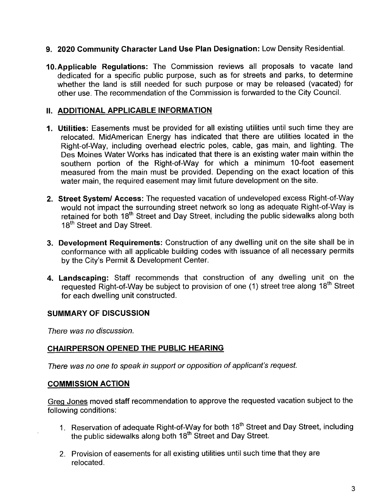- 9. 2020 Community Character Land Use Plan Designation: Low Density ResidentiaL.
- 10.Applicable Regulations: The Commission reviews all proposals to vacate land dedicated for a specific public purpose, such as for streets and parks, to determine whether the land is still needed for such purpose or may be released (vacated) for other use. The recommendation of the Commission is forwarded to the City Council.

### II. ADDITIONAL APPLICABLE INFORMATION

- 1. Utilities: Easements must be provided for all existing utilities until such time they are relocated. MidAmerican Energy has indicated that there are utilities located in the Right-of-Way, including overhead electric poles, cable, gas main, and lighting. The Des Moines Water Works has indicated that there is an existing water main within the southern portion of the Right-of-Way for which a minimum 10-foot easement measured from the main must be provided. Depending on the exact location of this water main, the required easement may limit future development on the site.
- 2. Street System/ Access: The requested vacation of undeveloped excess Right-of-Way would not impact the surrounding street network so long as adequate Right-of-Way is retained for both 18<sup>th</sup> Street and Day Street, including the public sidewalks along both 18<sup>th</sup> Street and Day Street.
- 3. Development Requirements: Construction of any dwelling unit on the site shall be in conformance with all applicable building codes with issuance of all necessary permits by the City's Permit & Development Center.
- 4. Landscaping: Staff recommends that construction of any dwelling unit on the requested Right-of-Way be subject to provision of one (1) street tree along 18<sup>th</sup> Street for each dwelling unit constructed.

### SUMMARY OF DISCUSSION

There was no discussion.

# CHAIRPERSON OPENED THE PUBLIC HEARING

There was no one to speak in support or opposition of applicant's request.

### COMMISSION ACTION

Greq Jones moved staff recommendation to approve the requested vacation subject to the following conditions:

- 1. Reservation of adequate Right-of-Way for both 18<sup>th</sup> Street and Day Street, including the public sidewalks along both 18<sup>th</sup> Street and Day Street.
- 2. Provision of easements for all existing utilities until such time that they are relocated.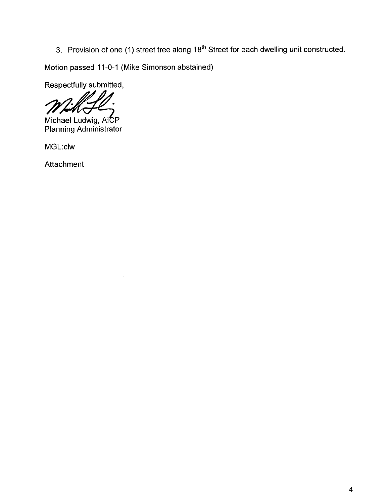3. Provision of one (1) street tree along 18<sup>th</sup> Street for each dwelling unit constructed.

Motion passed 11-0-1 (Mike Simonson abstained)<br>Respectfully submitted,

Michael Ludwig, AICP Planning Administrator

MGL:clw

**Attachment**